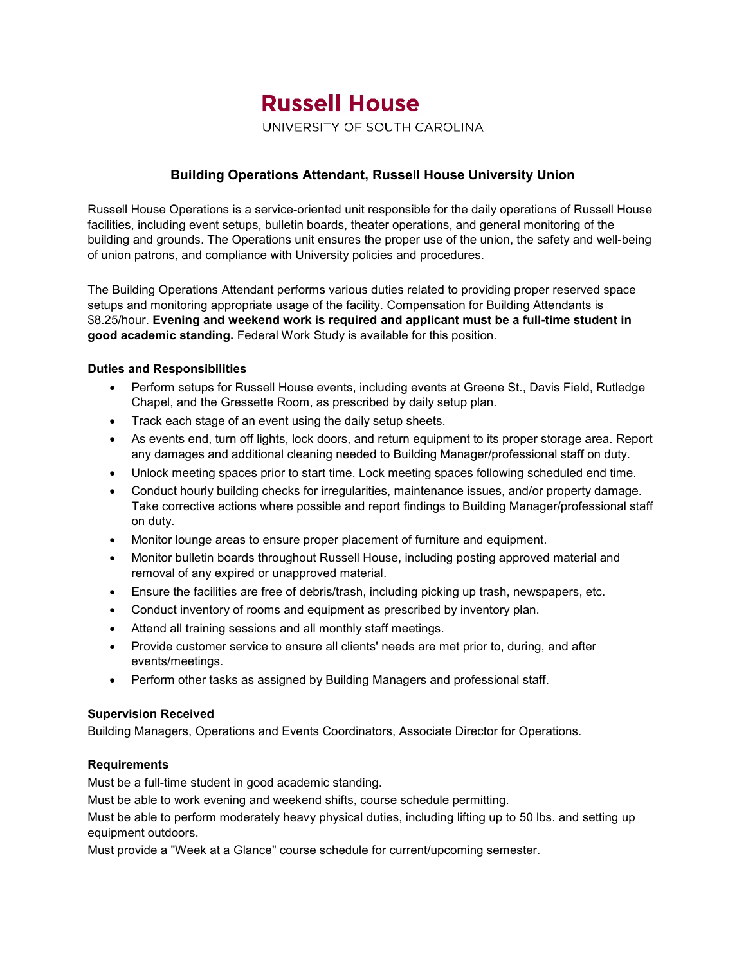# **Russell House**

UNIVERSITY OF SOUTH CAROLINA

# **Building Operations Attendant, Russell House University Union**

Russell House Operations is a service-oriented unit responsible for the daily operations of Russell House facilities, including event setups, bulletin boards, theater operations, and general monitoring of the building and grounds. The Operations unit ensures the proper use of the union, the safety and well-being of union patrons, and compliance with University policies and procedures.

The Building Operations Attendant performs various duties related to providing proper reserved space setups and monitoring appropriate usage of the facility. Compensation for Building Attendants is \$8.25/hour. **Evening and weekend work is required and applicant must be a full-time student in good academic standing.** Federal Work Study is available for this position.

## **Duties and Responsibilities**

- Perform setups for Russell House events, including events at Greene St., Davis Field, Rutledge Chapel, and the Gressette Room, as prescribed by daily setup plan.
- Track each stage of an event using the daily setup sheets.
- As events end, turn off lights, lock doors, and return equipment to its proper storage area. Report any damages and additional cleaning needed to Building Manager/professional staff on duty.
- Unlock meeting spaces prior to start time. Lock meeting spaces following scheduled end time.
- Conduct hourly building checks for irregularities, maintenance issues, and/or property damage. Take corrective actions where possible and report findings to Building Manager/professional staff on duty.
- Monitor lounge areas to ensure proper placement of furniture and equipment.
- Monitor bulletin boards throughout Russell House, including posting approved material and removal of any expired or unapproved material.
- Ensure the facilities are free of debris/trash, including picking up trash, newspapers, etc.
- Conduct inventory of rooms and equipment as prescribed by inventory plan.
- Attend all training sessions and all monthly staff meetings.
- Provide customer service to ensure all clients' needs are met prior to, during, and after events/meetings.
- Perform other tasks as assigned by Building Managers and professional staff.

### **Supervision Received**

Building Managers, Operations and Events Coordinators, Associate Director for Operations.

### **Requirements**

Must be a full-time student in good academic standing.

Must be able to work evening and weekend shifts, course schedule permitting.

Must be able to perform moderately heavy physical duties, including lifting up to 50 lbs. and setting up equipment outdoors.

Must provide a "Week at a Glance" course schedule for current/upcoming semester.